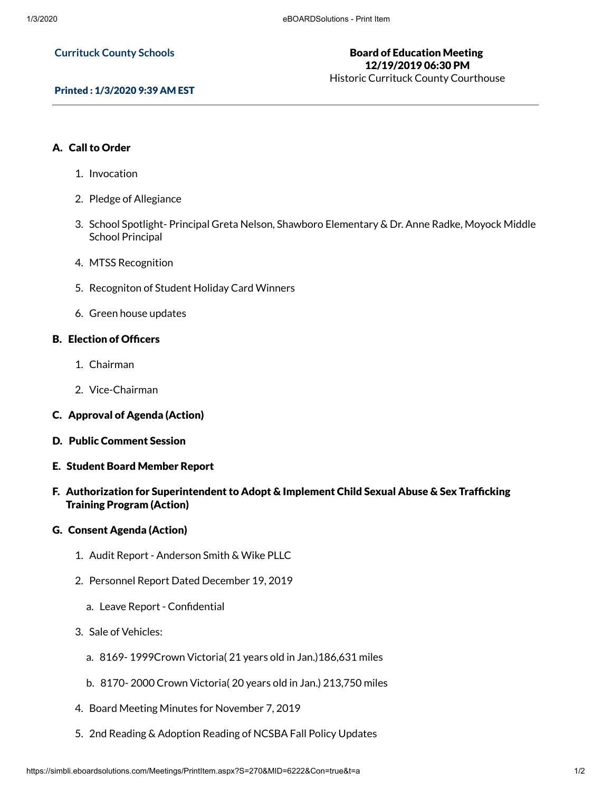### **Currituck County Schools**

# Board of Education Meeting 12/19/2019 06:30 PM

Historic Currituck County Courthouse

### Printed : 1/3/2020 9:39 AM EST

### A. Call to Order

- 1. Invocation
- 2. Pledge of Allegiance
- 3. School Spotlight- Principal Greta Nelson, Shawboro Elementary & Dr. Anne Radke, Moyock Middle School Principal
- 4. MTSS Recognition
- 5. Recogniton of Student Holiday Card Winners
- 6. Green house updates

### **B. Election of Officers**

- 1. Chairman
- 2. Vice-Chairman
- C. Approval of Agenda (Action)
- D. Public Comment Session
- E. Student Board Member Report
- F. Authorization for Superintendent to Adopt & Implement Child Sexual Abuse & Sex Trafficking Training Program (Action)

### G. Consent Agenda (Action)

- 1. Audit Report Anderson Smith & Wike PLLC
- 2. Personnel Report Dated December 19, 2019
	- a. Leave Report Confidential
- 3. Sale of Vehicles:
	- a. 8169- 1999Crown Victoria( 21 years old in Jan.)186,631 miles
	- b. 8170- 2000 Crown Victoria( 20 years old in Jan.) 213,750 miles
- 4. Board Meeting Minutes for November 7, 2019
- 5. 2nd Reading & Adoption Reading of NCSBA Fall Policy Updates